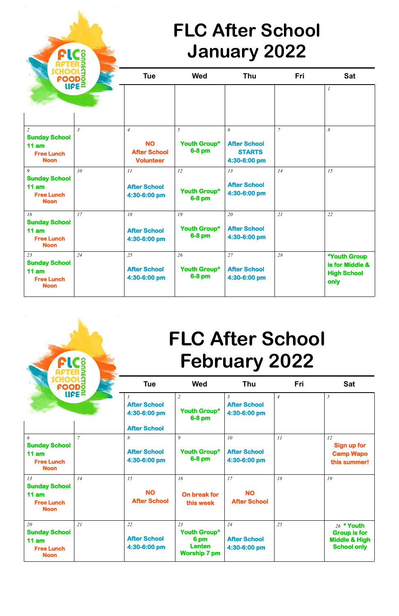**Supering Tue Sattle Sattle Med Thu Fri** Sattle **FIC**<sup>6</sup><br> **HOOLS**<br>
HOODS<br>
UPE *1* *2* **Sunday School 11 am Free Lunch Noon**  *3 4* **NO After School Volunteer**  *5* **Youth Group\* 6-8 pm**  *6* **After School STARTS 4:30-6:00 pm**  *7 8 9* **Sunday School 11 am Free Lunch Noon**  *10 11* **After School 4:30-6:00 pm**  *12* **Youth Group\* 6-8 pm**  *13* **After School 4:30-6:00 pm**  *14 15 16* **Sunday School 11 am Free Lunch Noon**  *17 18* **After School 4:30-6:00 pm**  *19* **Youth Group\* 6-8 pm**  *20* **After School 4:30-6:00 pm**  *21 22 23* **Sunday School 11 am Free Lunch Noon**  *24 25* **After School 4:30-6:00 pm**  *26* **Youth Group\* 6-8 pm**  *27* **After School 4:30-6:00 pm**  *28* **\*Youth Group is for Middle & High School only**

## **FLC After School January 2022**

| 10014<br>FOODO                                                          |                | <b>Tue</b>                                                 | <b>Wed</b>                                                         | <b>Thu</b>                                            | <b>Fri</b>     | <b>Sat</b>                                                                            |
|-------------------------------------------------------------------------|----------------|------------------------------------------------------------|--------------------------------------------------------------------|-------------------------------------------------------|----------------|---------------------------------------------------------------------------------------|
|                                                                         | <b>ULES</b>    | <b>After School</b><br>4:30-6:00 pm<br><b>After School</b> | $\overline{2}$<br>Youth Group*<br>$6-8$ pm                         | $\overline{3}$<br><b>After School</b><br>4:30-6:00 pm | $\overline{4}$ | 5                                                                                     |
| 6<br><b>Sunday School</b><br>11 am<br><b>Free Lunch</b><br><b>Noon</b>  | $\overline{7}$ | 8<br><b>After School</b><br>4:30-6:00 pm                   | 9<br>Youth Group*<br>6-8 pm                                        | 10<br><b>After School</b><br>4:30-6:00 pm             | 11             | 12<br><b>Sign up for</b><br><b>Camp Wapo</b><br>this summer!                          |
| 13<br><b>Sunday School</b><br>11 am<br><b>Free Lunch</b><br><b>Noon</b> | 14             | 15<br><b>NO</b><br><b>After School</b>                     | 16<br><b>On break for</b><br>this week                             | 17<br><b>NO</b><br><b>After School</b>                | 18             | 19                                                                                    |
| 20<br><b>Sunday School</b><br>11 am<br><b>Free Lunch</b><br><b>Noon</b> | 21             | 22<br><b>After School</b><br>4:30-6:00 pm                  | 23<br>Youth Group*<br>6 pm<br><b>Lenten</b><br><b>Worship 7 pm</b> | 24<br><b>After School</b><br>4:30-6:00 pm             | 25             | $26$ * Youth<br><b>Group is for</b><br><b>Middle &amp; High</b><br><b>School only</b> |

**C**<br>B

## **FLC After School February 2022**